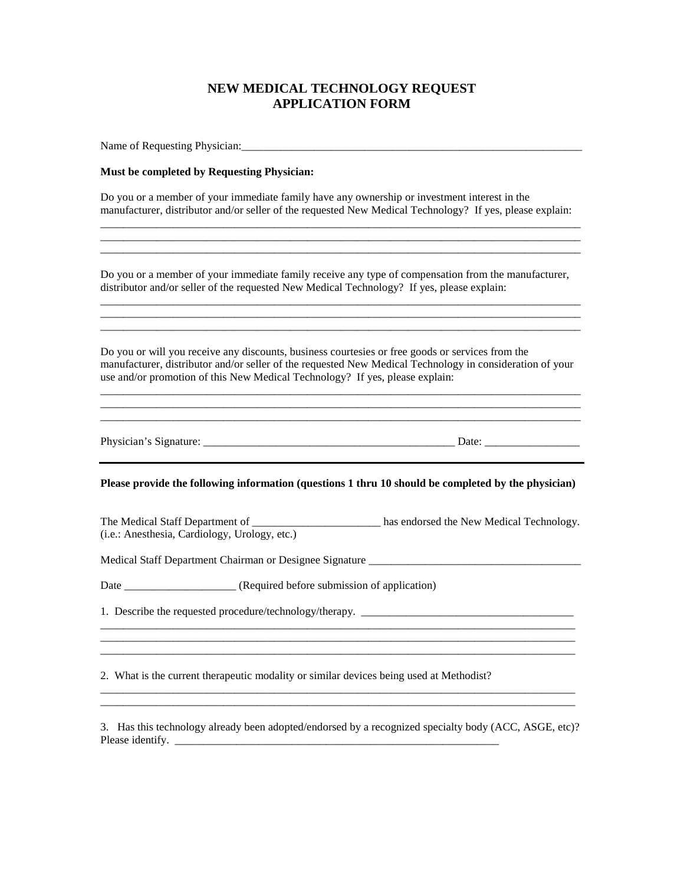# **NEW MEDICAL TECHNOLOGY REQUEST APPLICATION FORM**

| Name of Requesting Physician:                                                                                                                                                                                                                                                                |  |  |
|----------------------------------------------------------------------------------------------------------------------------------------------------------------------------------------------------------------------------------------------------------------------------------------------|--|--|
| Must be completed by Requesting Physician:                                                                                                                                                                                                                                                   |  |  |
| Do you or a member of your immediate family have any ownership or investment interest in the<br>manufacturer, distributor and/or seller of the requested New Medical Technology? If yes, please explain:                                                                                     |  |  |
| Do you or a member of your immediate family receive any type of compensation from the manufacturer,<br>distributor and/or seller of the requested New Medical Technology? If yes, please explain:                                                                                            |  |  |
| Do you or will you receive any discounts, business courtesies or free goods or services from the<br>manufacturer, distributor and/or seller of the requested New Medical Technology in consideration of your<br>use and/or promotion of this New Medical Technology? If yes, please explain: |  |  |
|                                                                                                                                                                                                                                                                                              |  |  |
| Please provide the following information (questions 1 thru 10 should be completed by the physician)                                                                                                                                                                                          |  |  |
| The Medical Staff Department of _________________________ has endorsed the New Medical Technology.<br>(i.e.: Anesthesia, Cardiology, Urology, etc.)                                                                                                                                          |  |  |
| Medical Staff Department Chairman or Designee Signature ________________________                                                                                                                                                                                                             |  |  |
|                                                                                                                                                                                                                                                                                              |  |  |
|                                                                                                                                                                                                                                                                                              |  |  |
|                                                                                                                                                                                                                                                                                              |  |  |

3. Has this technology already been adopted/endorsed by a recognized specialty body (ACC, ASGE, etc)? Please identify.  $\frac{1}{2}$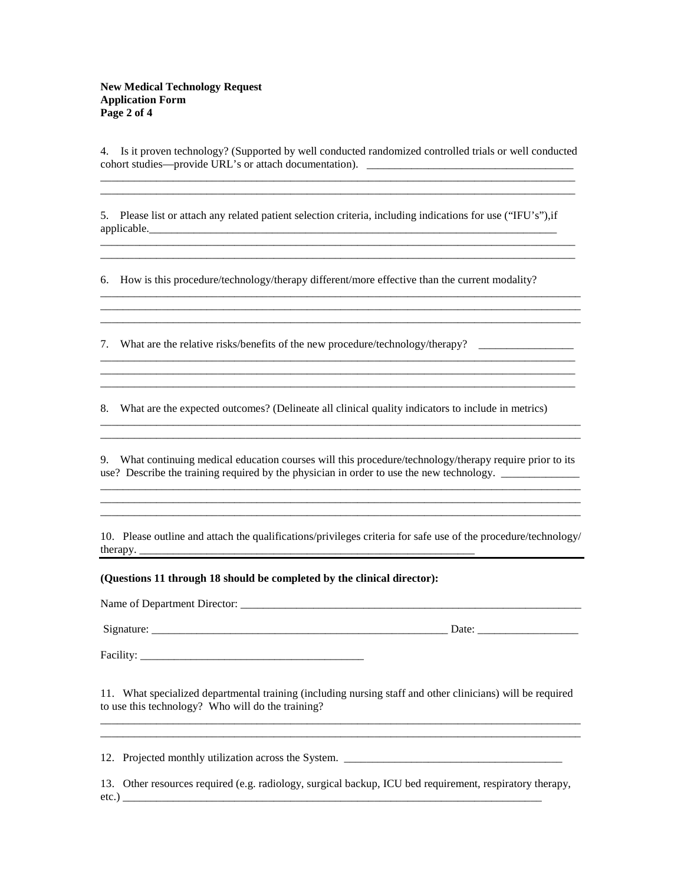4. Is it proven technology? (Supported by well conducted randomized controlled trials or well conducted cohort studies—provide URL's or attach documentation). \_\_\_\_\_\_\_\_\_\_\_\_\_\_\_\_\_\_\_\_\_\_\_\_\_\_\_\_\_\_\_\_\_\_\_\_\_

\_\_\_\_\_\_\_\_\_\_\_\_\_\_\_\_\_\_\_\_\_\_\_\_\_\_\_\_\_\_\_\_\_\_\_\_\_\_\_\_\_\_\_\_\_\_\_\_\_\_\_\_\_\_\_\_\_\_\_\_\_\_\_\_\_\_\_\_\_\_\_\_\_\_\_\_\_\_\_\_\_\_\_\_\_

5. Please list or attach any related patient selection criteria, including indications for use ("IFU's"),if applicable.

\_\_\_\_\_\_\_\_\_\_\_\_\_\_\_\_\_\_\_\_\_\_\_\_\_\_\_\_\_\_\_\_\_\_\_\_\_\_\_\_\_\_\_\_\_\_\_\_\_\_\_\_\_\_\_\_\_\_\_\_\_\_\_\_\_\_\_\_\_\_\_\_\_\_\_\_\_\_\_\_\_\_\_\_\_ \_\_\_\_\_\_\_\_\_\_\_\_\_\_\_\_\_\_\_\_\_\_\_\_\_\_\_\_\_\_\_\_\_\_\_\_\_\_\_\_\_\_\_\_\_\_\_\_\_\_\_\_\_\_\_\_\_\_\_\_\_\_\_\_\_\_\_\_\_\_\_\_\_\_\_\_\_\_\_\_\_\_\_\_\_

\_\_\_\_\_\_\_\_\_\_\_\_\_\_\_\_\_\_\_\_\_\_\_\_\_\_\_\_\_\_\_\_\_\_\_\_\_\_\_\_\_\_\_\_\_\_\_\_\_\_\_\_\_\_\_\_\_\_\_\_\_\_\_\_\_\_\_\_\_\_\_\_\_\_\_\_\_\_\_\_\_\_\_\_\_\_

\_\_\_\_\_\_\_\_\_\_\_\_\_\_\_\_\_\_\_\_\_\_\_\_\_\_\_\_\_\_\_\_\_\_\_\_\_\_\_\_\_\_\_\_\_\_\_\_\_\_\_\_\_\_\_\_\_\_\_\_\_\_\_\_\_\_\_\_\_\_\_\_\_\_\_\_\_\_\_\_\_\_\_\_\_\_

\_\_\_\_\_\_\_\_\_\_\_\_\_\_\_\_\_\_\_\_\_\_\_\_\_\_\_\_\_\_\_\_\_\_\_\_\_\_\_\_\_\_\_\_\_\_\_\_\_\_\_\_\_\_\_\_\_\_\_\_\_\_\_\_\_\_\_\_\_\_\_\_\_\_\_\_\_\_\_\_\_\_\_\_\_ \_\_\_\_\_\_\_\_\_\_\_\_\_\_\_\_\_\_\_\_\_\_\_\_\_\_\_\_\_\_\_\_\_\_\_\_\_\_\_\_\_\_\_\_\_\_\_\_\_\_\_\_\_\_\_\_\_\_\_\_\_\_\_\_\_\_\_\_\_\_\_\_\_\_\_\_\_\_\_\_\_\_\_\_\_

\_\_\_\_\_\_\_\_\_\_\_\_\_\_\_\_\_\_\_\_\_\_\_\_\_\_\_\_\_\_\_\_\_\_\_\_\_\_\_\_\_\_\_\_\_\_\_\_\_\_\_\_\_\_\_\_\_\_\_\_\_\_\_\_\_\_\_\_\_\_\_\_\_\_\_\_\_\_\_\_\_\_\_\_\_

6. How is this procedure/technology/therapy different/more effective than the current modality?

7. What are the relative risks/benefits of the new procedure/technology/therapy? \_\_\_\_\_\_\_\_\_\_\_\_\_\_\_\_\_

8. What are the expected outcomes? (Delineate all clinical quality indicators to include in metrics)

9. What continuing medical education courses will this procedure/technology/therapy require prior to its use? Describe the training required by the physician in order to use the new technology. \_\_\_\_\_\_\_\_\_\_ \_\_\_\_\_\_\_\_\_\_\_\_\_\_\_\_\_\_\_\_\_\_\_\_\_\_\_\_\_\_\_\_\_\_\_\_\_\_\_\_\_\_\_\_\_\_\_\_\_\_\_\_\_\_\_\_\_\_\_\_\_\_\_\_\_\_\_\_\_\_\_\_\_\_\_\_\_\_\_\_\_\_\_\_\_\_

\_\_\_\_\_\_\_\_\_\_\_\_\_\_\_\_\_\_\_\_\_\_\_\_\_\_\_\_\_\_\_\_\_\_\_\_\_\_\_\_\_\_\_\_\_\_\_\_\_\_\_\_\_\_\_\_\_\_\_\_\_\_\_\_\_\_\_\_\_\_\_\_\_\_\_\_\_\_\_\_\_\_\_\_\_\_

\_\_\_\_\_\_\_\_\_\_\_\_\_\_\_\_\_\_\_\_\_\_\_\_\_\_\_\_\_\_\_\_\_\_\_\_\_\_\_\_\_\_\_\_\_\_\_\_\_\_\_\_\_\_\_\_\_\_\_\_\_\_\_\_\_\_\_\_\_\_\_\_\_\_\_\_\_\_\_\_\_\_\_\_\_\_ \_\_\_\_\_\_\_\_\_\_\_\_\_\_\_\_\_\_\_\_\_\_\_\_\_\_\_\_\_\_\_\_\_\_\_\_\_\_\_\_\_\_\_\_\_\_\_\_\_\_\_\_\_\_\_\_\_\_\_\_\_\_\_\_\_\_\_\_\_\_\_\_\_\_\_\_\_\_\_\_\_\_\_\_\_\_

10. Please outline and attach the qualifications/privileges criteria for safe use of the procedure/technology/ therapy. \_\_\_\_\_\_\_\_\_\_\_\_\_\_\_\_\_\_\_\_\_\_\_\_\_\_\_\_\_\_\_\_\_\_\_\_\_\_\_\_\_\_\_\_\_\_\_\_\_\_\_\_\_\_\_\_\_\_\_\_

**(Questions 11 through 18 should be completed by the clinical director):**

Name of Department Director: \_\_\_\_\_\_\_\_\_\_\_\_\_\_\_\_\_\_\_\_\_\_\_\_\_\_\_\_\_\_\_\_\_\_\_\_\_\_\_\_\_\_\_\_\_\_\_\_\_\_\_\_\_\_\_\_\_\_\_\_\_

Signature: \_\_\_\_\_\_\_\_\_\_\_\_\_\_\_\_\_\_\_\_\_\_\_\_\_\_\_\_\_\_\_\_\_\_\_\_\_\_\_\_\_\_\_\_\_\_\_\_\_\_\_\_\_ Date: \_\_\_\_\_\_\_\_\_\_\_\_\_\_\_\_\_\_

Facility: \_\_\_\_\_\_\_\_\_\_\_\_\_\_\_\_\_\_\_\_\_\_\_\_\_\_\_\_\_\_\_\_\_\_\_\_\_\_\_\_

11. What specialized departmental training (including nursing staff and other clinicians) will be required to use this technology? Who will do the training? \_\_\_\_\_\_\_\_\_\_\_\_\_\_\_\_\_\_\_\_\_\_\_\_\_\_\_\_\_\_\_\_\_\_\_\_\_\_\_\_\_\_\_\_\_\_\_\_\_\_\_\_\_\_\_\_\_\_\_\_\_\_\_\_\_\_\_\_\_\_\_\_\_\_\_\_\_\_\_\_\_\_\_\_\_\_

\_\_\_\_\_\_\_\_\_\_\_\_\_\_\_\_\_\_\_\_\_\_\_\_\_\_\_\_\_\_\_\_\_\_\_\_\_\_\_\_\_\_\_\_\_\_\_\_\_\_\_\_\_\_\_\_\_\_\_\_\_\_\_\_\_\_\_\_\_\_\_\_\_\_\_\_\_\_\_\_\_\_\_\_\_\_

12. Projected monthly utilization across the System. \_\_\_\_\_\_\_\_\_\_\_\_\_\_\_\_\_\_\_\_\_\_\_\_\_\_\_\_\_\_\_\_\_\_\_\_\_\_\_

13. Other resources required (e.g. radiology, surgical backup, ICU bed requirement, respiratory therapy, etc.) \_\_\_\_\_\_\_\_\_\_\_\_\_\_\_\_\_\_\_\_\_\_\_\_\_\_\_\_\_\_\_\_\_\_\_\_\_\_\_\_\_\_\_\_\_\_\_\_\_\_\_\_\_\_\_\_\_\_\_\_\_\_\_\_\_\_\_\_\_\_\_\_\_\_\_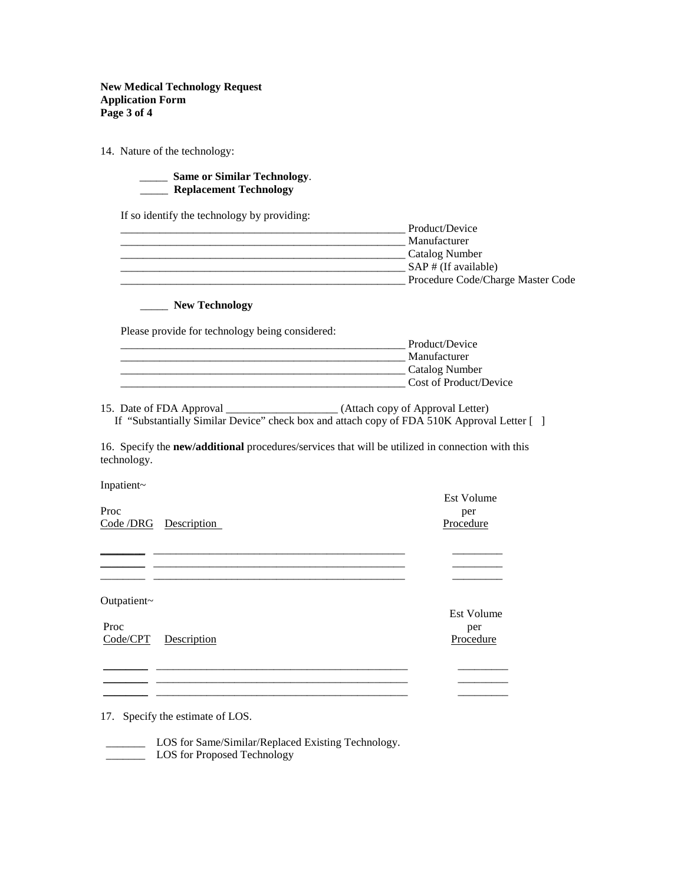### **New Medical Technology Request Application Form Page 3 of 4**

14. Nature of the technology:

## \_\_\_\_\_ **Same or Similar Technology**. \_\_\_\_\_ **Replacement Technology**

If so identify the technology by providing:

| Product/Device                    |
|-----------------------------------|
| Manufacturer                      |
| Catalog Number                    |
| $SAP \# (If available)$           |
| Procedure Code/Charge Master Code |

#### \_\_\_\_\_ **New Technology**

Please provide for technology being considered:

| Product/Device         |
|------------------------|
| Manufacturer           |
| Catalog Number         |
| Cost of Product/Device |

15. Date of FDA Approval \_\_\_\_\_\_\_\_\_\_\_\_\_\_\_\_\_\_\_\_ (Attach copy of Approval Letter) If "Substantially Similar Device" check box and attach copy of FDA 510K Approval Letter [ ]

16. Specify the **new/additional** procedures/services that will be utilized in connection with this technology.

**\_\_\_\_\_\_\_\_** \_\_\_\_\_\_\_\_\_\_\_\_\_\_\_\_\_\_\_\_\_\_\_\_\_\_\_\_\_\_\_\_\_\_\_\_\_\_\_\_\_\_\_\_\_ \_\_\_\_\_\_\_\_\_

\_\_\_\_\_\_\_\_ \_\_\_\_\_\_\_\_\_\_\_\_\_\_\_\_\_\_\_\_\_\_\_\_\_\_\_\_\_\_\_\_\_\_\_\_\_\_\_\_\_\_\_\_\_ \_\_\_\_\_\_\_\_\_ \_\_\_\_\_\_\_\_ \_\_\_\_\_\_\_\_\_\_\_\_\_\_\_\_\_\_\_\_\_\_\_\_\_\_\_\_\_\_\_\_\_\_\_\_\_\_\_\_\_\_\_\_\_ \_\_\_\_\_\_\_\_\_ \_\_\_\_\_\_\_\_ \_\_\_\_\_\_\_\_\_\_\_\_\_\_\_\_\_\_\_\_\_\_\_\_\_\_\_\_\_\_\_\_\_\_\_\_\_\_\_\_\_\_\_\_\_ \_\_\_\_\_\_\_\_\_

\_\_\_\_\_\_\_\_\_\_\_\_\_\_\_\_\_\_\_\_\_\_\_\_\_\_\_\_\_\_\_\_\_\_\_\_\_\_\_\_\_\_\_\_\_ \_\_\_\_\_\_\_\_\_

Inpatient~

| Proc                  | per     |
|-----------------------|---------|
| Code /DRG Description | Procedu |

Outpatient~

 $\overline{\phantom{a}}$ 

Proc per Code/CPT Description Procedure

Est Volume

Est Volume

Procedure

17. Specify the estimate of LOS.

\_\_\_\_\_\_\_ LOS for Same/Similar/Replaced Existing Technology.

\_\_\_\_\_\_\_\_ \_\_\_\_\_\_\_\_\_\_\_\_\_\_\_\_\_\_\_\_\_\_\_\_\_\_\_\_\_\_\_\_\_\_\_\_\_\_\_\_\_\_\_\_\_ \_\_\_\_\_\_\_\_\_

**LOS** for Proposed Technology